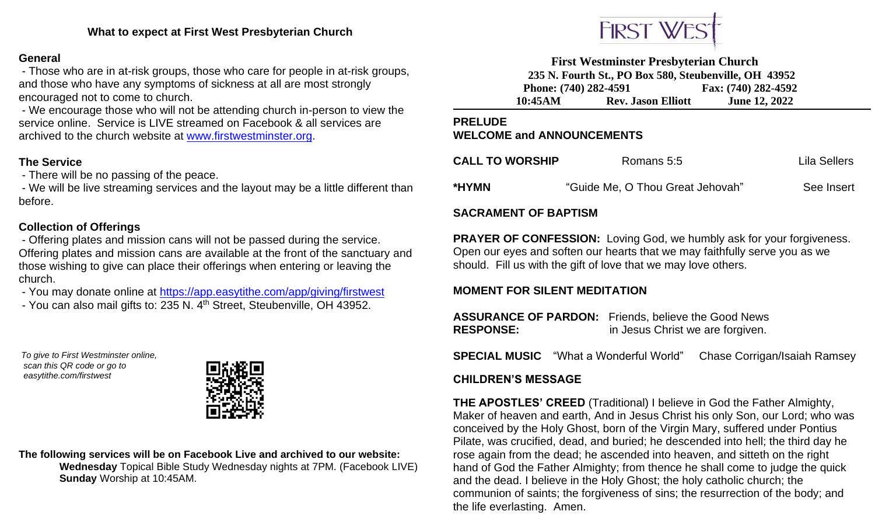### **General**

- Those who are in at-risk groups, those who care for people in at-risk groups, and those who have any symptoms of sickness at all are most strongly encouraged not to come to church.

- We encourage those who will not be attending church in-person to view the service online. Service is LIVE streamed on Facebook & all services are archived to the church website at [www.firstwestminster.org.](http://www.firstwestminster.org/)

## **The Service**

- There will be no passing of the peace.

- We will be live streaming services and the layout may be a little different than before.

## **Collection of Offerings**

- Offering plates and mission cans will not be passed during the service. Offering plates and mission cans are available at the front of the sanctuary and those wishing to give can place their offerings when entering or leaving the church.

- You may donate online at<https://app.easytithe.com/app/giving/firstwest>
- You can also mail gifts to: 235 N. 4<sup>th</sup> Street, Steubenville, OH 43952.

*To give to First Westminster online, scan this QR code or go to easytithe.com/firstwest*



**The following services will be on Facebook Live and archived to our website: Wednesday** Topical Bible Study Wednesday nights at 7PM. (Facebook LIVE)  **Sunday** Worship at 10:45AM.



**First Westminster Presbyterian Church 235 N. Fourth St., PO Box 580, Steubenville, OH 43952 Phone: (740) 282-4591 Fax: (740) 282-4592 10:45AM Rev. Jason Elliott June 12, 2022**

**PRELUDE**

## **WELCOME and ANNOUNCEMENTS**

| <b>CALL TO WORSHIP</b> | Romans 5:5                       | Lila Sellers |
|------------------------|----------------------------------|--------------|
| *HYMN                  | "Guide Me, O Thou Great Jehovah" | See Insert   |

## **SACRAMENT OF BAPTISM**

**PRAYER OF CONFESSION:** Loving God, we humbly ask for your forgiveness. Open our eyes and soften our hearts that we may faithfully serve you as we should. Fill us with the gift of love that we may love others.

## **MOMENT FOR SILENT MEDITATION**

**ASSURANCE OF PARDON:** Friends, believe the Good News **RESPONSE:** in Jesus Christ we are forgiven.

**SPECIAL MUSIC** "What a Wonderful World"Chase Corrigan/Isaiah Ramsey

## **CHILDREN'S MESSAGE**

**THE APOSTLES' CREED** (Traditional) I believe in God the Father Almighty, Maker of heaven and earth, And in Jesus Christ his only Son, our Lord; who was conceived by the Holy Ghost, born of the Virgin Mary, suffered under Pontius Pilate, was crucified, dead, and buried; he descended into hell; the third day he rose again from the dead; he ascended into heaven, and sitteth on the right hand of God the Father Almighty; from thence he shall come to judge the quick and the dead. I believe in the Holy Ghost; the holy catholic church; the communion of saints; the forgiveness of sins; the resurrection of the body; and the life everlasting. Amen.